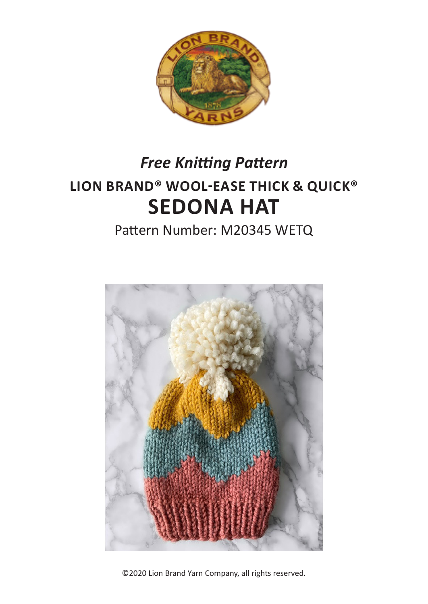

# **LION BRAND® WOOL-EASE THICK & QUICK® SEDONA HAT** *Free Knitting Pattern*

# Pattern Number: M20345 WETQ



©2020 Lion Brand Yarn Company, all rights reserved.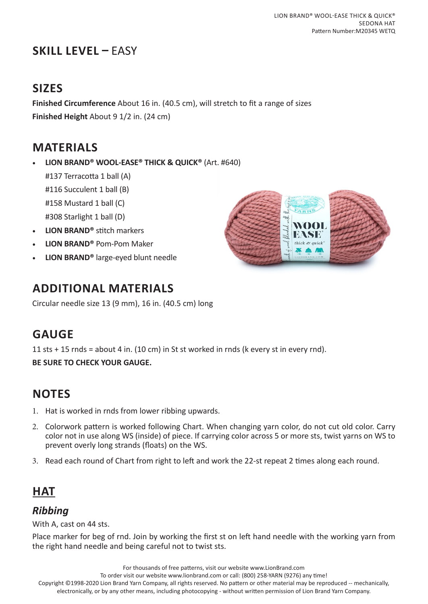# **SKILL LEVEL –** EASY

## **SIZES**

**Finished Circumference** About 16 in. (40.5 cm), will stretch to fit a range of sizes **Finished Height** About 9 1/2 in. (24 cm)

### **MATERIALS**

• **LION BRAND® WOOL-EASE® THICK & QUICK®** (Art. #640)

#137 Terracotta 1 ball (A) #116 Succulent 1 ball (B)

#158 Mustard 1 ball (C)

#308 Starlight 1 ball (D)

- **LION BRAND®** stitch markers
- **LION BRAND®** Pom-Pom Maker
- **LION BRAND®** large-eyed blunt needle

# **ADDITIONAL MATERIALS**

Circular needle size 13 (9 mm), 16 in. (40.5 cm) long

# **GAUGE**

11 sts + 15 rnds = about 4 in. (10 cm) in St st worked in rnds (k every st in every rnd).

**BE SURE TO CHECK YOUR GAUGE.**

# **NOTES**

- 1. Hat is worked in rnds from lower ribbing upwards.
- 2. Colorwork pattern is worked following Chart. When changing yarn color, do not cut old color. Carry color not in use along WS (inside) of piece. If carrying color across 5 or more sts, twist yarns on WS to prevent overly long strands (floats) on the WS.
- 3. Read each round of Chart from right to left and work the 22-st repeat 2 times along each round.

# **HAT**

#### *Ribbing*

With A, cast on 44 sts.

Place marker for beg of rnd. Join by working the first st on left hand needle with the working yarn from the right hand needle and being careful not to twist sts.

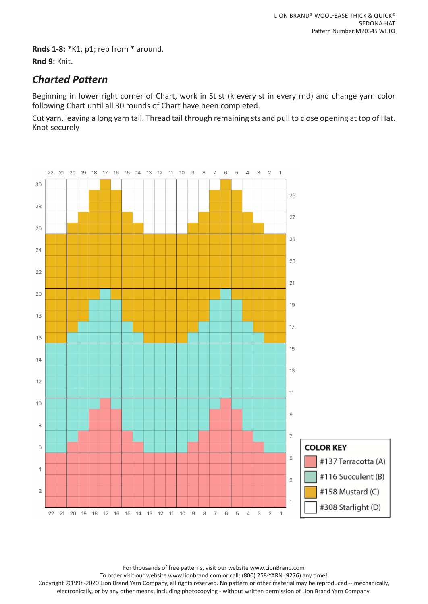**Rnds 1-8:** \*K1, p1; rep from \* around. **Rnd 9:** Knit.

#### *Charted Pattern*

Beginning in lower right corner of Chart, work in St st (k every st in every rnd) and change yarn color following Chart until all 30 rounds of Chart have been completed.

Cut yarn, leaving a long yarn tail. Thread tail through remaining sts and pull to close opening at top of Hat. Knot securely



For thousands of free patterns, visit our website www.LionBrand.com

To order visit our website www.lionbrand.com or call: (800) 258-YARN (9276) any time!

Copyright ©1998-2020 Lion Brand Yarn Company, all rights reserved. No pattern or other material may be reproduced -- mechanically, electronically, or by any other means, including photocopying - without written permission of Lion Brand Yarn Company.